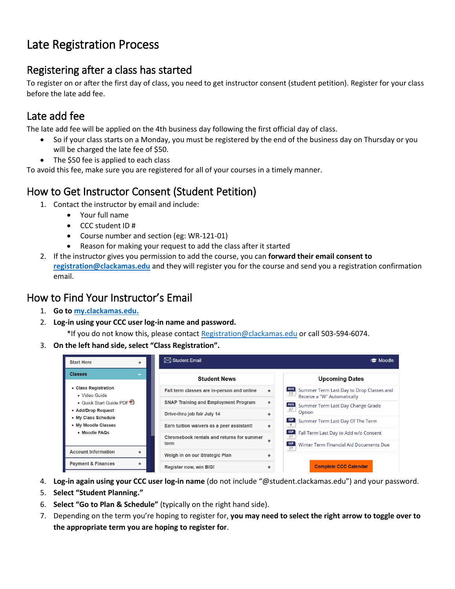# Late Registration Process

## Registering after a class has started

To register on or after the first day of class, you need to get instructor consent (student petition). Register for your class before the late add fee.

## Late add fee

The late add fee will be applied on the 4th business day following the first official day of class.

- So if your class starts on a Monday, you must be registered by the end of the business day on Thursday or you will be charged the late fee of \$50.
- The \$50 fee is applied to each class

To avoid this fee, make sure you are registered for all of your courses in a timely manner.

### How to Get Instructor Consent (Student Petition)

- 1. Contact the instructor by email and include:
	- Your full name
	- CCC student ID #
	- Course number and section (eg: WR-121-01)
	- Reason for making your request to add the class after it started
- 2. If the instructor gives you permission to add the course, you can **forward their email consent to [registration@clackamas.edu](mailto:registration@clackamas.edu)** and they will register you for the course and send you a registration confirmation email.

### How to Find Your Instructor's Email

- 1. **Go t[o my.clackamas.edu.](http://www.my.clackamas.edu/)**
- 2. **Log-in using your CCC user log-in name and password.**

\*If you do not know this, please contac[t Registration@clackamas.edu](mailto:Registration@clackamas.edu) or call 503-594-6074.

3. **On the left hand side, select "Class Registration".**

| <b>Start Here</b>                         | $\boxtimes$ Student Email                       | Moodle                                                                            |
|-------------------------------------------|-------------------------------------------------|-----------------------------------------------------------------------------------|
| <b>Classes</b><br>-                       | <b>Student News</b>                             | <b>Upcoming Dates</b>                                                             |
| • Class Registration<br>· Video Guide     | Fall term classes are in-person and online<br>÷ | Aug Summer Term Last Day to Drop Classes and<br>13<br>Receive a "W" Automatically |
| • Quick Start Guide PDF                   | <b>SNAP Training and Employment Program</b>     | AUG<br>Summer Term Last Day Change Grade<br>27                                    |
| • Add/Drop Request<br>• My Class Schedule | Drive-thru job fair July 14                     | Option                                                                            |
| . My Moodle Classes                       | Earn tuition waivers as a peer assistant!       | <b>SEP</b> Summer Term Last Day Of The Term                                       |
| • Moodle FAQs                             | Chromebook rentals and returns for summer       | SEP<br>Fall Term Last Day to Add w/o Consent                                      |
|                                           | term                                            | <b>SEP</b><br>Winter Term Financial Aid Documents Due<br>27                       |
| <b>Account Information</b>                | Weigh in on our Strategic Plan                  |                                                                                   |
| <b>Payment &amp; Finances</b>             | <b>Register now, win BIG!</b>                   | <b>Complete CCC Calendar</b>                                                      |

- 4. **Log-in again using your CCC user log-in name** (do not include "@student.clackamas.edu") and your password.
- 5. **Select "Student Planning."**
- 6. **Select "Go to Plan & Schedule"** (typically on the right hand side).
- 7. Depending on the term you're hoping to register for, **you may need to select the right arrow to toggle over to the appropriate term you are hoping to register for**.